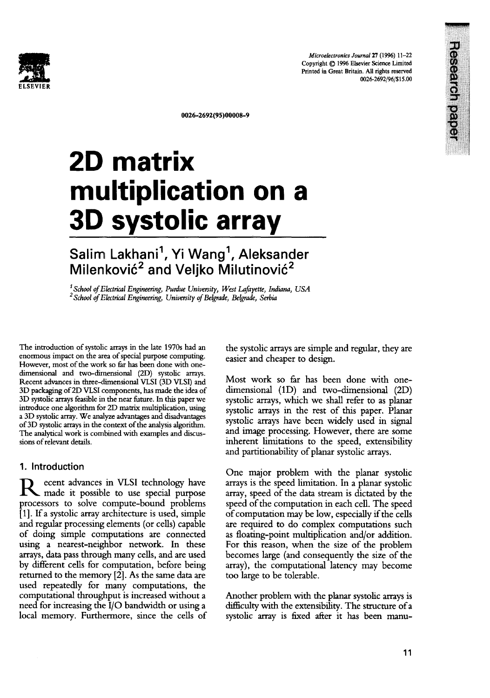

**Research paper** 



0026-2692(95)00008-9

# **2D matrix multiplication on a 3D systolic array**

# Salim Lakhani ', Yi Wang*', A*leksander Milenković<sup>2</sup> and Veljko Milutinović<sup>2</sup>

*I School of Electrical Engineering, Purdue University, West Lafayette, Indiana, USA*  <sup>2</sup> School of Electrical Engineering, University of Belgrade, Belgrade, Serbia

The introduction of systolic arrays in the late 1970s had an enormous impact on the area of special purpose computing. However, most of the work so far has been done with onedimensional and two-dimensional (2D) systolic arrays. Recent advances in three-dimensional VLSI (3D VLSI) and 3D packaging of2D VLSI components, has made the idea of 3D systolic arrays feasible in the near future. In this paper we introduce one algorithm for 2D matrix multiplication, using a 3D systolic array. We analyze advantages and disadvantages of 3D systolic arrays in the context of the analysis algorithm. The analytical work is combined with examples and discussions of relevant details.

#### 1. Introduction

**R** ecent advances in VLSI technology have made it possible to use special purpose processors to solve compute-bound problems [1]. If a systolic array architecture is used, simple and regular processing elements (or cells) capable of doing simple computations are connected using a nearest-neighbor network. In these arrays, data pass through many cells, and are used by different cells for computation, before being returned to the memory [2]. As the same data are used repeatedly for many computations, the computational throughput is increased without a need for increasing the I/O bandwidth or using a local memory. Furthermore, since the cells of

the systolic arrays are simple and regular, they are easier and cheaper to design.

Most work so far has been done with onedimensional (1D) and two-dimensional (2D) systolic arrays, which we shall refer to as planar systolic arrays in the rest of this paper. Planar systolic arrays have been widely used in signal and image processing. However, there are some inherent limitations to the speed, extensibility and partitionability of planar systolic arrays.

One major problem with the planar systolic arrays is the speed limitation. In a planar systolic array, speed of the data stream is dictated by the speed of the computation in each cell. The speed of computation may be low, especially if the cells are required to do complex computations such as floating-point multiplication and/or addition. For this reason, when the size of the problem becomes large (and consequently the size of the array), the computational latency may become too large to be tolerable.

Another problem with the planar systolic arrays is difficulty with the extensibility. The structure of a systolic array is fixed after it has been manu-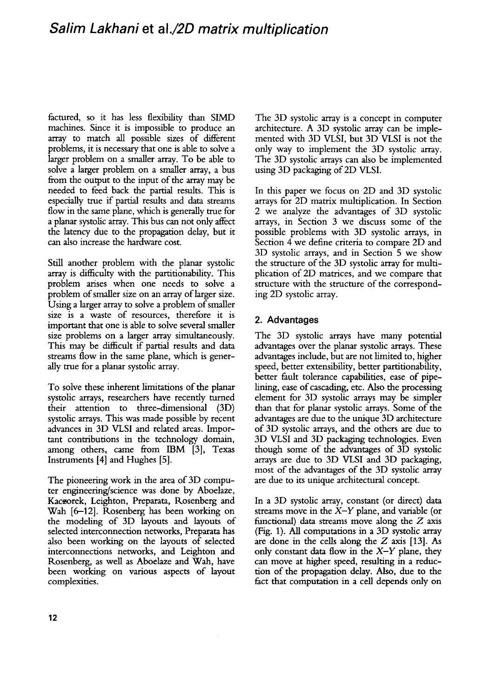## *Salim Lakhani* **et** *al./2D matrix multiplication*

factured, so it has less flexibility than SIMD machines. Since it is impossible to produce an array to match all possible sizes of different problems, it is necessary that one is able to solve a larger problem on a smaller array. To be able to solve a larger problem on a smaller array, a bus from the output to the input of the array may be needed to feed back the partial results. This is especially true if partial results and data streams flow in the same plane, which is generally true for a planar systolic array. This bus can not only affect the latency due to the propagation delay, but it can also increase the hardware cost.

Still another problem with the planar systolic array is difficulty with the partitionability. This problem arises when one needs to solve a problem of smaller size on an array of larger size. Using a larger array to solve a problem of smaller size is a waste of resources, therefore it is important that one is able to solve several smaller size problems on a larger array simultaneously. This may be difficult if partial results and data streams flow in the same plane, which is generally true for a planar systolic array.

To solve these inherent limitations of the planar systolic arrays, researchers have recently turned their attention to three-dimensional (3D) systolic arrays. This was made possible by recent advances in 3D VLSI and related areas. Important contributions in the technology domain, among others, came from IBM [3], Texas Instruments [4] and Hughes [5].

The pioneering work in the area of 3D computer engineering/science was done by Aboelaze, Kaczorek, Leighton, Preparata, Rosenberg and Wah [6-12]. Rosenberg has been working on the modeling of 3D layouts and layouts of selected interconnection networks, Preparata has also been working on the layouts of selected interconnections networks, and Leighton and Rosenberg, as well as Aboelaze and Wah, have been working on various aspects of layout complexities.

The 3D systolic array is a concept in computer architecture. A 3D systolic array can be implemented with 3D VLSI, but 3D VLSI is not the only way to implement the 3D systolic array. The 3D systolic arrays can also be implemented using 3D packaging of 2D VLSI.

In this paper we focus on 2D and 3D systolic arrays for 2D matrix multiplication. In Section 2 we analyze the advantages of 3D systolic arrays, in Section 3 we discuss some of the possible problems with 3D systolic arrays, in Section 4 we define criteria to compare 2D and 3D systolic arrays, and in Section 5 we show the structure of the 3D systolic array for multiplication of 2D matrices, and we compare that structure with the structure of the corresponding 2D systolic array.

## **2. Advantages**

The 3D systolic arrays have many potential advantages over the planar systolic arrays. These advantages include, but are not limited to, higher speed, better extensibility, better partitionability, better fault tolerance capabilities, ease of pipelining, ease of cascading, etc. Also the processing element for 3D systolic arrays may be simpler than that for planar systolic arrays. Some of the advantages are due to the unique 3D architecture of 3D systolic arrays, and the others are due to 3D VLSI and 3D packaging technologies. Even though some of the advantages of 3D systolic arrays are due to 3D VLSI and 3D packaging, most of the advantages of the 3D systolic array are due to its unique architectural concept.

In a 3D systolic array, constant (or direct) data streams move in the *X-Y* plane, and variable (or functional) data streams move along the Z axis (Fig. 1). All computations in a 3D systolic array are done in the cells along the Z axis [13]. As only constant data flow in the *X-Y* plane, they can move at higher speed, resulting in a reduction of the propagation delay. Also, due to the fact that computation in a cell depends only on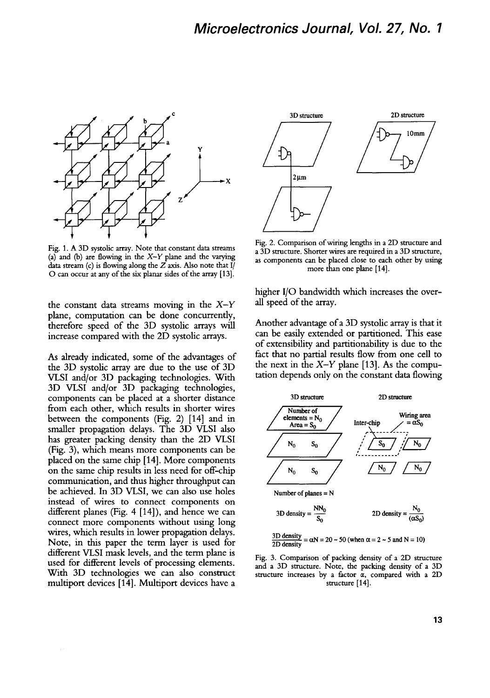

Fig. 1. A 3D systolic array. Note that constant data streams (a) and (b) are flowing in the *X-Y* plane and the varying data stream (c) is flowing along the  $Z$  axis. Also note that I O can occur at any of the six planar sides of the array [13].

the constant data streams moving in the *X-Y*  plane, computation can be done concurrently, therefore speed of the 3D systolic arrays will increase compared with the 2D systolic arrays.

As already indicated, some of the advantages of the 3D systolic array are due to the use of 3D VLSI and/or 3D packaging technologies. With 3D VLSI and/or 3D packaging technologies, components can be placed at a shorter distance from each other, which results in shorter wires between the components (Fig. 2) [14] and in smaller propagation delays. The 3D VLSI also has greater packing density than the 2D VLSI (Fig. 3), which means more components can be placed on the same chip [14]. More components on the same chip results in less need for off-chip communication, and thus higher throughput can be achieved. In 3D VLSI, we can also use holes instead of wires to connect components on different planes (Fig. 4 [14]), and hence we can connect more components without using long wires, which results in lower propagation delays. Note, in this paper the term layer is used for different VLSI mask levels, and the term plane is used for different levels of processing elements. With 3D technologies we can also construct multiport devices [14]. Multiport devices have a



Fig. 2. Comparison of wiring lengths in a 2D structure and a 3D structure. Shorter wires are required in a 3D structure, as components can be placed close to each other by using more than one plane [14].

higher I/O bandwidth which increases the overall speed of the array.

Another advantage of a 3D systolic array is that it can be easily extended or partitioned. This ease of extensibility and partitionability is due to the fact that no partial results flow from one cell to the next in the  $X-Y$  plane [13]. As the computation depends only on the constant data flowing



$$
\frac{3D \text{ density}}{2D \text{ density}} = \alpha N = 20 \sim 50 \text{ (when } \alpha = 2 \sim 5 \text{ and } N = 10\text{)}
$$

Fig. 3. Comparison of packing density of a 2D structure and a 3D structure. Note, the packing density of a 3D structure increases by a factor  $\alpha$ , compared with a 2D structure [14].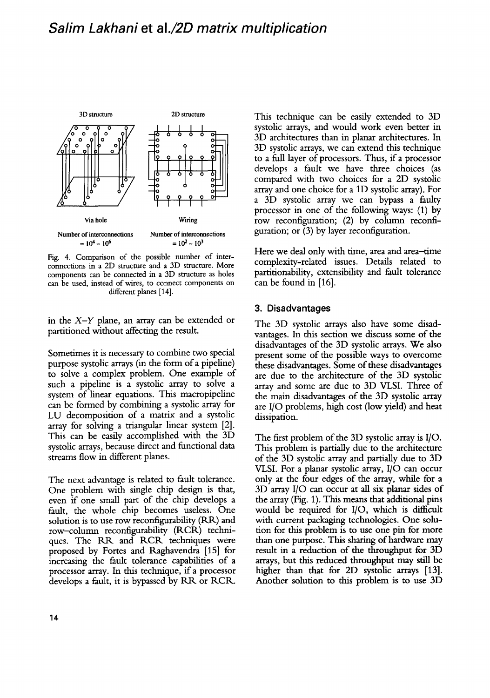

Fig. 4. Comparison of the possible number of interconnections in a 2D structure and a 3D structure. More components can be connected in a 3D structure as holes can be used, instead of wires, to connect components on different planes [14].

in the *X-Y* plane, an array can be extended or partitioned without affecting the result.

Sometimes it is necessary to combine two special purpose systolic arrays (in the form of a pipeline) to solve a complex problem. One example of such a pipeline is a systolic array to solve a system of linear equations. This macropipeline can be formed by combining a systolic array for LU decomposition of a matrix and a systolic array for solving a triangular linear system [2]. This can be easily accomplished with the 3D systolic arrays, because direct and functional data streams flow in different planes.

The next advantage is related to fault tolerance. One problem with single chip design is that, even if one small part of the chip develops a fault, the whole chip becomes useless. One solution is to use row reconfigurability (RR) and row-column reconfigurability (RCR) techniques. The RR and *RCR* techniques were proposed by Fortes and Raghavendra [15] for increasing the fault tolerance capabilities of a processor array. In this technique, if a processor develops a fault, it is bypassed by RR or RCR.

This technique can be easily extended to 3D systolic arrays, and would work even better in 3D architectures than in planar architectures. In 3D systolic arrays, we can extend this technique to a full layer of processors. Thus, if a processor develops a fault we have three choices (as compared with two choices for a 2D systolic array and one choice for a 1D systolic array). For a 3D systolic array we can bypass a faulty processor in one of the following ways: (1) by row reconfiguration; (2) by column reconfiguration; or  $(3)$  by layer reconfiguration.

Here we deal only with time, area and area-time complexity-related issues. Details related to partitionability, extensibility and fault tolerance can be found in [16].

#### **3. Disadvantages**

The 3D systolic arrays also have some disadvantages. In this section we discuss some of the disadvantages of the 3D systolic arrays. We also present some of the possible ways to overcome these disadvantages. Some of these disadvantages are due to the architecture of the 3D systolic array and some are due to 3D VLSI. Three of the main disadvantages of the 3D systolic array are I/O problems, high cost (low yield) and heat dissipation.

The first problem of the 3D systolic array is I/O. This problem is partially due to the architecture of the 3D systolic array and partially due to 3D VLSI. For a planar systolic array, I/O can occur only at the four edges of the array, while for a 3D array I/O can occur at all six planar sides of the array (Fig. 1). This means that additional pins would be required for I/O, which is difficult with current packaging technologies. One solution for this problem is to use one pin for more than one purpose. This sharing of hardware may result in a reduction of the throughput for 3D arrays, but this reduced throughput may still be higher than that for 2D systolic arrays [13]. Another solution to this problem is to use 3D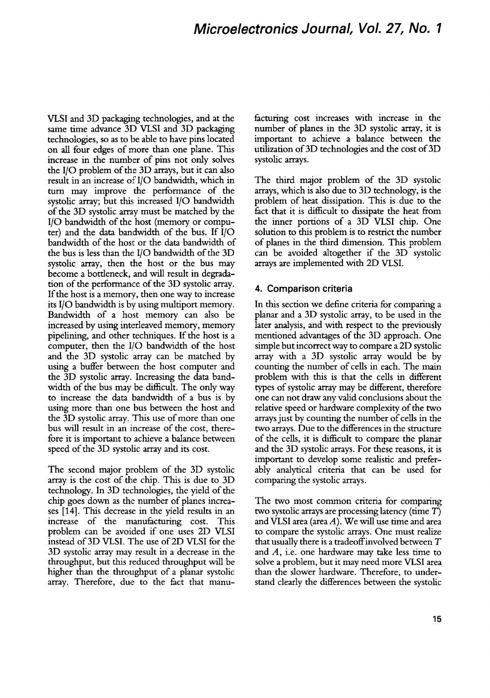## *Microelectronics Journal, Vol. 27, No. 1*

VLSI and 3D packaging technologies, and at the same time advance 3D VLSI and 3D packaging technologies, so as to be able to have pins located on all four edges of more than one plane. This increase in the number of pins not only solves the I/O problem of the 3D arrays, but it can also result in an increase of I/O bandwidth, which in turn may improve the performance of the systolic array; but this increased I/O bandwidth of the 3D systolic array must be matched by the I/O bandwidth of the host (memory or computer) and the data bandwidth of the bus. If I/O bandwidth of the host or the data bandwidth of the bus is less than the I/O bandwidth of the 3D systolic array, then the host or the bus may become a bottleneck, and will result in degradation of the performance of the 3D systolic array. If the host is a memory, then one way to increase its I/O bandwidth is by using multiport memory. Bandwidth of a host memory can also be increased by using interleaved memory, memory pipelining, and other techniques. If the host is a computer, then the I/O bandwidth of the host and the 3D systolic array can be matched by using a buffer between the host computer and the 3D systolic array. Increasing the data bandwidth of the bus may be difficult. The only way to increase the data bandwidth of a bus is by using more than one bus between the host and the 3D systolic array. This use of more than one bus will result in an increase of the cost, therefore it is important to achieve a balance between speed of the 3D systolic array and its cost.

The second major problem of the 3D systohc array is the cost of the chip. This is due to 3D technology. In 3D technologies, the yield of the chip goes down as the number of planes increases [14]. This decrease in the yield results in an increase of the manufacturing cost. This problem can be avoided if one uses 2D VLSI instead of 3D VLSI. The use of 2D VLSI for the 3D systolic array may result in a decrease in the throughput, but this reduced throughput will be higher than the throughput of a planar systolic array. Therefore, due to the fact that manufacturing cost increases with increase in the number of planes in the 3D systolic array, it is important to achieve a balance between the utilization of 3D technologies and the cost of 3D systolic arrays.

The third major problem of the 3D systohc arrays, which is also due to 3D technology, is the problem of heat dissipation. This is due to the fact that it is difficult to dissipate the heat from the inner portions of a 3D VLSI chip. One solution to this problem is to restrict the number of planes in the third dimension. This problem can be avoided altogether if the 3D systolic arrays are implemented with 2D VLSI.

#### **4. Comparison criteria**

In this section we define criteria for comparing a planar and a 3D systolic array, to be used in the later analysis, and with respect to the previously mentioned advantages of the 3D approach. One simple but incorrect way to compare a 2D systolic array with a 3D systolic array would be by counting the number of cells in each. The main problem with this is that the cells in different types of systolic array may be different, therefore one can not draw any valid conclusions about the relative speed or hardware complexity of the two arrays just by counting the number of cells in the two arrays. Due to the differences in the structure of the cells, it is difficult to compare the planar and the 3D systolic arrays. For these reasons, it is important to develop some realistic and preferably analytical criteria that can be used for comparing the systohc arrays.

The two most common criteria for comparing two systolic arrays are processing latency (time  $T$ ) and VLSI area (area  $A$ ). We will use time and area to compare the systolic arrays. One must realize that usually there is a tradeoffinvolved between T and  $A$ , i.e. one hardware may take less time to solve a problem, but it may need more VLSI area than the slower hardware. Therefore, to understand clearly the differences between the systolic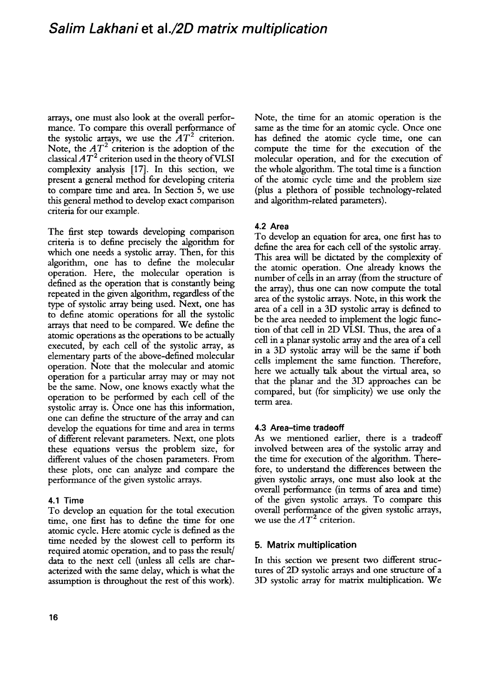## *Salim Lakhani* **et** *al./2D matrix multiplication*

arrays, one must also look at the overall performance. To compare this overall performance of the systolic arrays, we use the  $AT^2$  criterion. Note, the  $AT^2$  criterion is the adoption of the classical  $AT^2$  criterion used in the theory of VLSI complexity analysis [17]. In this section, we present a general method for developing criteria to compare time and area. In Section 5, we use this general method to develop exact comparison criteria for our example.

The first step towards developing comparison criteria is to define precisely the algorithm for which one needs a systolic array. Then, for this algorithm, one has to define the molecular operation. Here, the molecular operation is defined as the operation that is constantly being repeated in the given algorithm, regardless of the type of systolic array being used. Next, one has to define atomic operations for all the systolic arrays that need to be compared. We define the atomic operations as the operations to be actually executed, by each cell of the systolic array, as elementary parts of the above-defined molecular operation. Note that the molecular and atomic operation for a particular array may or may not be the same. Now, one knows exactly what the operation to be performed by each cell of the systolic array is. Once one has this information, one can define the structure of the array and can develop the equations for time and area in terms of different relevant parameters. Next, one plots these equations versus the problem size, for different values of the chosen parameters. From these plots, one can analyze and compare the performance of the given systolic arrays.

#### **4.1 Time**

To develop an equation for the total execution time, one first has to define the time for one atomic cycle. Here atomic cycle is defined as the time needed by the slowest cell to perform its required atomic operation, and to pass the result/ data to the next cell (unless all cells are characterized with the same delay, which is what the assumption is throughout the rest of this work). Note, the time for an atomic operation is the same as the time for an atomic cycle. Once one has defined the atomic cycle time, one can compute the time for the execution of the molecular operation, and for the execution of the whole algorithm. The total time is a function of the atomic cycle time and the problem size (plus a plethora of possible technology-related and algorithm-related parameters).

#### **4.2 Area**

To develop an equation for area, one first has to define the area for each cell of the systolic array. This area will be dictated by the complexity of the atomic operation. One already knows the number of cells in an array (from the structure of the array), thus one can now compute the total area of the systolic arrays. Note, in this work the area of a cell in a 3D systolic array is defined to be the area needed to implement the logic function of that cell in 2D VLSI. Thus, the area of a cell in a planar systolic array and the area of a cell in a 3D systolic array will be the same if both cells implement the same function. Therefore, here we actually talk about the virtual area, so that the planar and the 3D approaches can be compared, but (for simplicity) we use only the term area.

#### **4.3 Area-time tradeoff**

As we mentioned earlier, there is a tradeoff involved between area of the systolic array and the time for execution of the algorithm. Therefore, to understand the differences between the given systolic arrays, one must also look at the overall performance (in terms of area and time) of the given systolic arrays. To compare this overall performance of the given systolic arrays, we use the  $AT^2$  criterion.

#### **5. Matrix multiplication**

In this section we present two different structures of 2D systolic arrays and one structure of a 3D systohc array for matrix multiphcation. We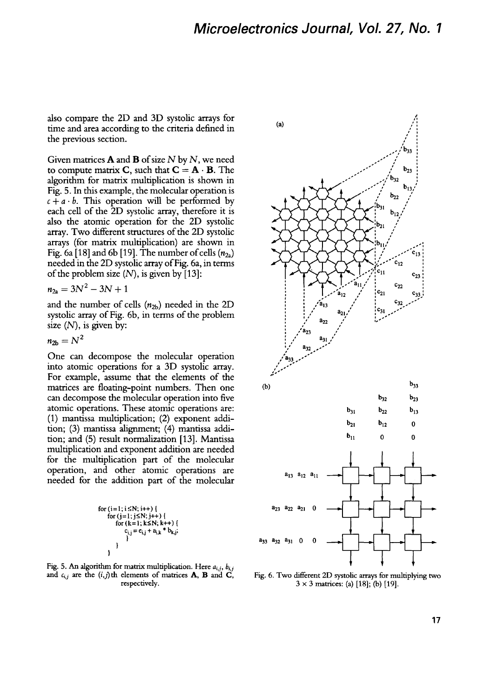**also compare the 2D and 3D systolic arrays for time and area according to the criteria defined in the previous section.** 

**Given matrices A and B of size N by N, we need**  to compute matrix **C**, such that  $C = A \cdot B$ . The **algorithm for matrix multiplication is shown in Fig. 5. In this example, the molecular operation is**   $c + a \cdot b$ . This operation will be performed by **each cell of the 2D systolic array, therefore it is also the atomic operation for the 2D systolic array. Two different structures of the 2D systolic arrays (for matrix multiplication) are shown in**  Fig. 6a [18] and 6b [19]. The number of cells  $(n_{2a})$ **needed in the 2D systolic array of Fig. 6a, in terms of the problem size (N), is given by [13]:** 

$$
n_{2a} = 3N^2 - 3N + 1
$$

**and the number of cells (n2b) needed in the 2D systolic array of Fig. 6b, in terms of the problem size (N), is given by:** 

 $n_{2b} = N^2$ 

**One can decompose the molecular operation into atomic operations for a 3D systolic array. For example, assume that the elements of the matrices are floating-point numbers. Then one can decompose the molecular operation into five atomic operations. These atomic operations are: (1) mantissa multiplication; (2) exponent addition; (3) mantissa aligmment; (4) mantissa addition; and (5) result normalization [13]. Mantissa multiplication and exponent addition are needed for the multiplication part of the molecular operation, and other atomic operations are needed for the addition part of the molecular** 

$$
\begin{array}{c}\n\text{for}\ (i=1;i\leq N;\ i++) \ \{\text{for}\ (j=1;j\leq N;\ j++) \ \{\text{for}\ (k=1;k\leq N;\ k++) \ \{\text{if}\ (k=1;k\leq N;\ k++) \ \{\text{if}\ c_{i,j}=c_{i,j}+a_{i,k}*b_{k,j};\} \\\}\n\end{array}
$$

**Fig. 5. An algorithm for matrix multiplication. Here** *ai,j, bi,j*  and  $c_{i,j}$  are the  $(i,j)$ th elements of matrices **A, B** and **C**, Fig. 6. Two different 2D systolic arrays for multiplying two respectively.<br> $3 \times 3$  matrices: (a) [18]; (b) [19].



 $3 \times 3$  matrices: (a) [18]; (b) [19].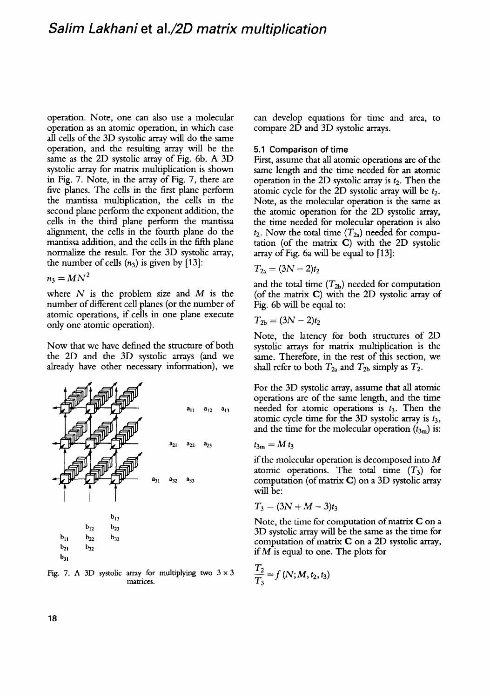## *Salim Lakhani* **et** *al./2D matrix multiplication*

operation. Note, one can also use a molecular operation as an atomic operation, in which case all cells of the 3D systolic array will do the same operation, and the resulting array will be the same as the 2D systolic array of Fig. 6b. A 3D systolic array for matrix multiplication is shown in Fig. 7. Note, in the array of Fig. 7, there are five planes. The cells in the first plane perform the mantissa multiplication, the cells in the second plane perform the exponent addition, the cells in the third plane perform the mantissa alignment, the cells in the fourth plane do the mantissa addition, and the cells in the fifth plane normalize the result. For the 3D systolic array, the number of cells  $(n_3)$  is given by [13]:

$$
n_3 = MN^2
$$

where  $N$  is the problem size and  $M$  is the number of different cell planes (or the number of atomic operations, if cells in one plane execute only one atomic operation).

Now that we have defined the structure of both the 2D and the 3D systolic arrays (and we already have other necessary information), we



Fig. 7. A 3D systolic array for multiplying two  $3 \times 3$ matrices.

can develop equations for time and area, to compare 2D and 3D systolic arrays.

#### **5.1 Comparison of** time

First, assume that all atomic operations are of the same length and the time needed for an atomic operation in the 2D systolic array is  $t_2$ . Then the atomic cycle for the 2D systolic array will be  $t_2$ . Note, as the molecular operation is the same as the atomic operation for the 2D systolic array, the time needed for molecular operation is also  $t_2$ . Now the total time  $(T_{2a})$  needed for computation (of the matrix C) with the 2D systolic array of Fig. 6a will be equal to [13]:

$$
T_{2a}=(3N-2)t_2
$$

and the total time  $(T_{2b})$  needed for computation (of the matrix C) with the 2D systolic array of Fig. 6b will be equal to:

$$
T_{2b}=(3N-2)t_2
$$

Note, the latency for both structures of 2D systolic arrays for matrix multiplication is the same. Therefore, in the rest of this section, we shall refer to both  $T_{2a}$  and  $T_{2b}$  simply as  $T_2$ .

For the 3D systolic array, assume that all atomic operations are of the same length, and the time needed for atomic operations is  $t_3$ . Then the atomic cycle time for the 3D systolic array is  $t_3$ , and the time for the molecular operation  $(t_{3m})$  is:

$$
t_{3\mathrm{m}}=M t_3
$$

if the molecular operation is decomposed into M atomic operations. The total time  $(T_3)$  for computation (of matrix C) on a 3D systolic array will be:

$$
T_3=(3N+M-3)t_3
$$

Note, the time for computation of matrix C on a 3D systolic array will be the same as the time for computation of matrix C on a 2D systolic array, if  $M$  is equal to one. The plots for

$$
\frac{T_2}{T_3} = f(N; M, t_2, t_3)
$$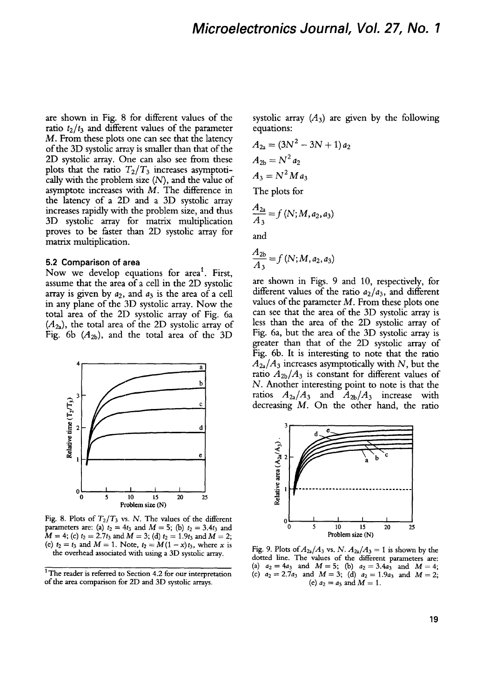are shown in Fig. 8 for different values of the ratio  $t_2/t_3$  and different values of the parameter M. From these plots one can see that the latency of the 3D systolic array is smaller than that of the 2D systolic array. One can also see from these plots that the ratio  $T_2/T_3$  increases asymptotically with the problem size  $(N)$ , and the value of asymptote increases with  $M$ . The difference in the latency of a 2D and a 3D systolic array increases rapidly with the problem size, and thus 3D systolic array for matrix multiplication proves to be faster than 2D systolic array for matrix multiplication.

#### **5.2 Comparison of area**

Now we develop equations for area<sup>1</sup>. First, assume that the area of a cell in the 2D systolic array is given by  $a_2$ , and  $a_3$  is the area of a cell in any plane of the 3D systolic array. Now the total area of the 2[) systolic array of Fig. 6a  $(A_{2a})$ , the total area of the 2D systolic array of Fig. 6b  $(A_{2b})$ , and the total area of the 3D



Fig. 8. Plots of  $T_2/T_3$  vs. N. The values of the different parameters are: (a)  $t_2 = 4t_3$  and  $M = 5$ ; (b)  $t_2 = 3.4t_3$  and  $M = 4$ ; (c)  $t_2 = 2.7t_3$  and  $M = 3$ ; (d)  $t_2 = 1.9t_3$  and  $M = 2$ ; (e)  $t_2 = t_3$  and  $M = 1$ . Note,  $t_2 = M(1 - x)t_3$ , where x is the overhead associated with using a 3D systolic array.

systolic array  $(A_3)$  are given by the following equations:

$$
A_{2a} = (3N^{2} - 3N + 1) a_{2}
$$
  
\n
$$
A_{2b} = N^{2} a_{2}
$$
  
\n
$$
A_{3} = N^{2} M a_{3}
$$
  
\nThe plots for  
\n
$$
\frac{A_{2a}}{A_{3}} = f (N; M, a_{2}, a_{3})
$$

and

$$
\frac{A_{2b}}{A_3} = f(N;M,a_2,a_3)
$$

are shown in Figs. 9 and 10, respectively, for different values of the ratio  $a_2/a_3$ , and different values of the parameter  $M$ . From these plots one can see that the area of the 3D systolic array is less than the area of the 2D systolic array of Fig. 6a, but the area of the 3D systolic array is greater than that of the 2D systolic array of Fig. 6b. It is interesting to note that the ratio  $A_{2a}/A_3$  increases asymptotically with N, but the ratio  $A_{2b}/A_3$  is constant for different values of N. Another interesting point to note is that the ratios  $A_{2a}/A_3$  and  $A_{2b}/A_3$  increase with decreasing M. On the other hand, the ratio



Fig. 9. Plots of  $A_{24}/A_3$  vs. *N.*  $A_{24}/A_3 = 1$  is shown by the dotted line. The values of the different parameters are: (a)  $a_2 = 4a_3$  and  $M = 5$ ; (b)  $a_2 = 3.4a_3$  and  $M = 4$ ; (c)  $a_2=2.7a_3$  and  $M=3$ ; (d)  $a_2=1.9a_3$  and  $M=2$ ; (e)  $a_2 = a_3$  and  $M = 1$ .

<sup>&</sup>lt;sup>1</sup> The reader is referred to Section 4.2 for our interpretation of the area comparison for 2D and 3D systolic arrays.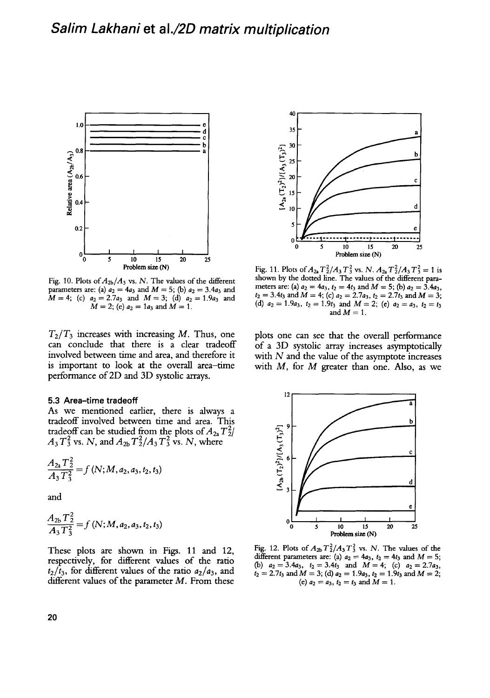

Fig. 10. Plots *of A2b/A3* vs. N. The values of the different parameters are: (a)  $a_2 = 4a_3$  and  $M = 5$ ; (b)  $a_2 = 3.4a_3$  and  $M=4$ ; (c)  $a_2=2.7a_3$  and  $M=3$ ; (d)  $a_2=1.9a_3$  and  $M = 2$ ; (e)  $a_2 = 1a_3$  and  $M = 1$ .

 $T_2/T_3$  increases with increasing M. Thus, one can conclude that there is a clear tradeoff involved between time and area, and therefore it is important to look at the overall area-time performance of 2D and 3D systolic arrays.

#### **5.3 Area-time tradeoff**

As we mentioned earlier, there is always a tradeoff involved between time and area. This tradeoff can be studied from the plots of  $A_{2a}T_2^2$  $A_3 T_3^2$  vs. N, and  $A_{2b} T_2^2 / A_3 T_3^2$  vs. N, where

$$
\frac{A_{2a}T_2^2}{A_3T_3^2} = f(N;M,a_2,a_3,t_2,t_3)
$$

and

$$
\frac{A_{2b}T_2^2}{A_3T_3^2}=f(N;M,a_2,a_3,t_2,t_3)
$$

These plots are shown in Figs. 11 and 12, respectively, for different values of the ratio  $t_2/\bar{t}_3$ , for different values of the ratio  $a_2/a_3$ , and different values of the parameter  $M$ . From these



Fig. 11. Plots of  $A_{2a}T_2^2/A_3T_3^2$  vs. *N.*  $A_{2a}T_2^2/A_3T_3^2=1$  is shown by the dotted line. The values of the different parameters are: (a)  $a_2 = 4a_3$ ,  $t_2 = 4t_3$  and  $M = 5$ ; (b)  $a_2 = 3.4a_3$ ,  $t_2 = 3.4t_3$  and  $M = 4$ ; (c)  $a_2 = 2.7a_3$ ,  $t_2 = 2.7t_3$  and  $M = 3$ ; (d)  $a_2 = 1.9a_3$ ,  $t_2 = 1.9t_3$  and  $M = 2$ ; (e)  $a_2 = a_3$ ,  $t_2 = t_3$ and  $M = 1$ .

plots one can see that the overall performance of a 3D systolic array increases asymptotically with  $N$  and the value of the asymptote increases with  $M$ , for  $M$  greater than one. Also, as we



Fig. 12. Plots of  $A_{2b}T_2^2/A_3T_3^2$  vs. N. The values of the different parameters are: (a)  $a_2 = 4a_3$ ,  $t_2 = 4t_3$  and  $M = 5$ ; (b)  $a_2 = 3.4a_3$ ,  $t_2 = 3.4t_3$  and  $M = 4$ ; (c)  $a_2 = 2.7a_3$ ,  $t_2 = 2.7t_3$  and  $M = 3$ ; (d)  $a_2 = 1.9a_3$ ,  $t_2 = 1.9t_3$  and  $M = 2$ ; (e)  $a_2 = a_3$ ,  $t_2 = t_3$  and  $M = 1$ .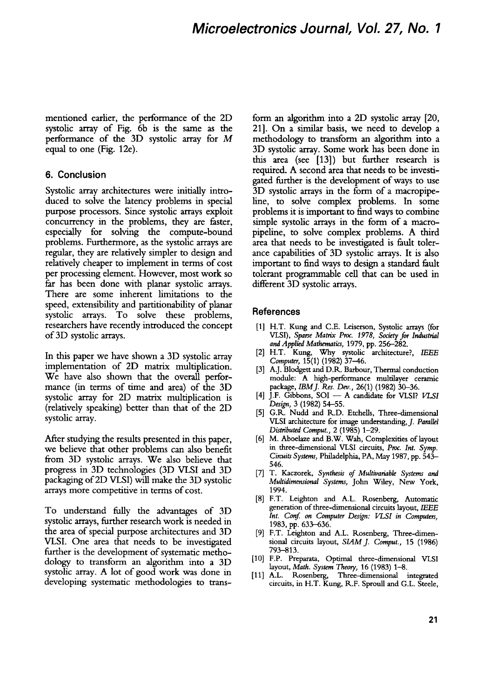mentioned earlier, the performance of the 2D systolic array of Fig. 6b is the same as the performance of the 3D systolic array for M equal to one (Fig. 12e).

### **6. Conclusion**

Systolic array architectures were initially introduced to solve the latency problems in special purpose processors. Since systolic arrays exploit concurrency in the problems, they are faster, especially for solving the compute-bound problems. Furthermore, as the systolic arrays are regular, they are relatively simpler to design and relatively cheaper to implement in terms of cost per processing element. However, most work so far has been done with planar systolic arrays. There are some inherent limitations to the speed, extensibility and partitionability of planar systolic arrays. To solve these problems, researchers have recently introduced the concept of 3D systolic arrays.

In this paper we have shown a 3D systolic array implementation of 2D matrix multiplication. We have also shown that the overall performance (in terms of time and area) of the 3D systolic array for 2D matrix multiplication is (relatively speaking) better than that of the 2D systolic array.

After studying the results presented in this paper, we believe that other problems can also benefit from 3D systolic arrays. We also believe that progress in 3D technologies (3D VLSI and 3D packaging of2D VLSI) will make the 3D systolic arrays more competitive in terms of cost.

To understand fully' the advantages of 3D systolic arrays, further research work is needed in the area of special purpose architectures and 3D VLSI. One area that needs to be investigated further is the development of systematic methodology to transform an algorithm into a 3D systolic array. A lot of good work was done in developing systematic: methodologies to trans-

form an algorithm into a 2D systolic array [20, 21]. On a similar basis, we need to develop a methodology to transform an algorithm into a 3D systolic array. Some work has been done in this area (see [13]) but further research is required. A second area that needs to be investigated further is the development of ways to use 3D systolic arrays in the form of a macropipeline, to solve complex problems. In some problems it is important to find ways to combine simple systolic arrays in the form of a macropipeline, to solve complex problems. A third area that needs to be investigated is fault tolerance capabilities of 3D systolic arrays. It is also important to find ways to design a standard fault tolerant programmable cell that can be used in different 3D systolic arrays.

#### **References**

- [1] H.T. Kung and C.E. Leiserson, Systolic arrays (for *VLSI), Sparse Matrix Proc. 1978, Society for Industrial and Applied Mathematics,* 1979, pp. 256-282.
- [2] H.T. Kung, Why systolic architecture?, *IEEE Computer,* 15(1) (1982) 37-46.
- [3] A.J. Blodgett and D.R. Barbour, Thermal conduction module: A high-performance multilayer ceramic package, *IBMJ. Res. Dev.,* 26(1) (1982) 30-36.
- [4] J.F. Gibbons,  $SOI A$  candidate for VLSI? VLSI *Design,* 3 (1982) 54-55.
- [5] G.R. Nudd and R.D. Etchells, Three-dimensional VLSI architecture for image understanding, J. *Parallel Distributed Comput.,* 2 (1985) 1-29.
- [6] M. Aboelaze and B.W. Wah, Complexities of layout in three-dimensional VLSI circuits, *Proc. Int. Syrup. Circuits Systems,* Philadelphia, PA, May 1987, pp. 543- 546.
- [7] T. Kaczorek, *Synthesis of Multivariable Systems and Multidimensional Systems,* John Wiley, New York, 1994.
- [8] F.T. Leighton and A.L. Rosenberg, Automatic generation of three-dimensional circuits layout, *IEEE Int. Conf. on Computer Design: VLSI in Computers,*  1983, pp. 633-636.
- [9] F.T. Leighton and A.L. Rosenberg, Three-dimensional circuits layout, *SIAMJ. Comput.,* 15 (1986) 793-813.
- [10] F.P. Preparata, Optimal three-dimensional VLSI layout, *Math. System Theory,* 16 (1983) 1--8.
- [11] A.L. Rosenberg, Three-dimensional integrated circuits, in H.T. Kung, R.F. Sproull and G.L. Steele,